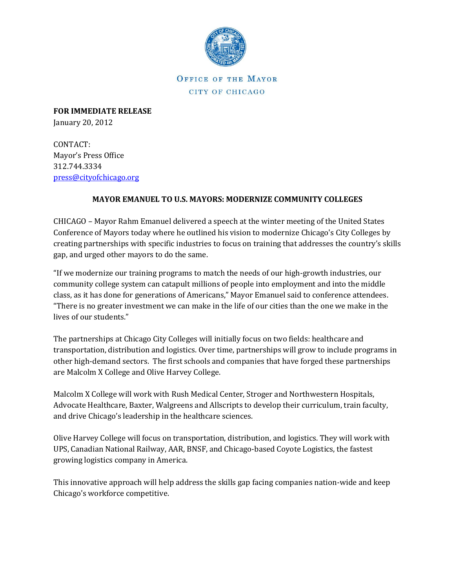

**OFFICE OF THE MAYOR** CITY OF CHICAGO

**FOR IMMEDIATE RELEASE** January 20, 2012

CONTACT: Mayor's Press Office 312.744.3334 [press@cityofchicago.org](mailto:press@cityofchicago.org)

## **MAYOR EMANUEL TO U.S. MAYORS: MODERNIZE COMMUNITY COLLEGES**

CHICAGO – Mayor Rahm Emanuel delivered a speech at the winter meeting of the United States Conference of Mayors today where he outlined his vision to modernize Chicago's City Colleges by creating partnerships with specific industries to focus on training that addresses the country's skills gap, and urged other mayors to do the same.

"If we modernize our training programs to match the needs of our high-growth industries, our community college system can catapult millions of people into employment and into the middle class, as it has done for generations of Americans," Mayor Emanuel said to conference attendees. "There is no greater investment we can make in the life of our cities than the one we make in the lives of our students."

The partnerships at Chicago City Colleges will initially focus on two fields: healthcare and transportation, distribution and logistics. Over time, partnerships will grow to include programs in other high-demand sectors. The first schools and companies that have forged these partnerships are Malcolm X College and Olive Harvey College.

Malcolm X College will work with Rush Medical Center, Stroger and Northwestern Hospitals, Advocate Healthcare, Baxter, Walgreens and Allscripts to develop their curriculum, train faculty, and drive Chicago's leadership in the healthcare sciences.

Olive Harvey College will focus on transportation, distribution, and logistics. They will work with UPS, Canadian National Railway, AAR, BNSF, and Chicago-based Coyote Logistics, the fastest growing logistics company in America.

This innovative approach will help address the skills gap facing companies nation-wide and keep Chicago's workforce competitive.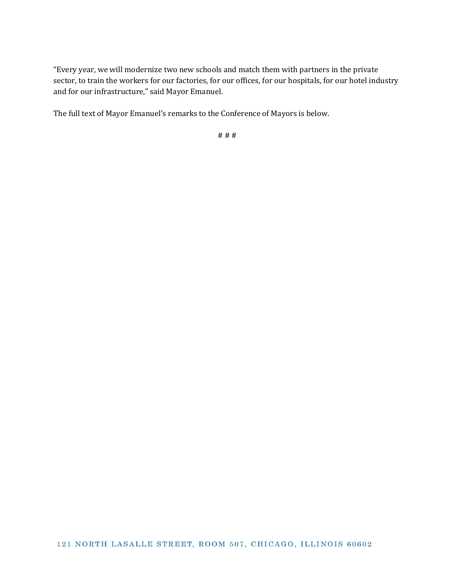"Every year, we will modernize two new schools and match them with partners in the private sector, to train the workers for our factories, for our offices, for our hospitals, for our hotel industry and for our infrastructure," said Mayor Emanuel.

The full text of Mayor Emanuel's remarks to the Conference of Mayors is below.

# # #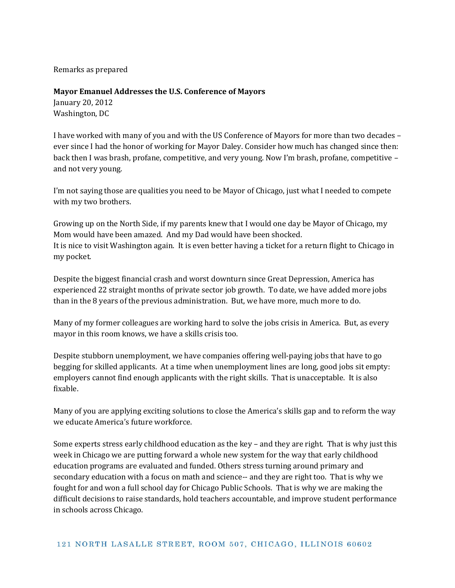Remarks as prepared

## **Mayor Emanuel Addresses the U.S. Conference of Mayors**

January 20, 2012 Washington, DC

I have worked with many of you and with the US Conference of Mayors for more than two decades – ever since I had the honor of working for Mayor Daley. Consider how much has changed since then: back then I was brash, profane, competitive, and very young. Now I'm brash, profane, competitive – and not very young.

I'm not saying those are qualities you need to be Mayor of Chicago, just what I needed to compete with my two brothers.

Growing up on the North Side, if my parents knew that I would one day be Mayor of Chicago, my Mom would have been amazed. And my Dad would have been shocked. It is nice to visit Washington again. It is even better having a ticket for a return flight to Chicago in my pocket.

Despite the biggest financial crash and worst downturn since Great Depression, America has experienced 22 straight months of private sector job growth. To date, we have added more jobs than in the 8 years of the previous administration. But, we have more, much more to do.

Many of my former colleagues are working hard to solve the jobs crisis in America. But, as every mayor in this room knows, we have a skills crisis too.

Despite stubborn unemployment, we have companies offering well-paying jobs that have to go begging for skilled applicants. At a time when unemployment lines are long, good jobs sit empty: employers cannot find enough applicants with the right skills. That is unacceptable. It is also fixable.

Many of you are applying exciting solutions to close the America's skills gap and to reform the way we educate America's future workforce.

Some experts stress early childhood education as the key – and they are right. That is why just this week in Chicago we are putting forward a whole new system for the way that early childhood education programs are evaluated and funded. Others stress turning around primary and secondary education with a focus on math and science-- and they are right too. That is why we fought for and won a full school day for Chicago Public Schools. That is why we are making the difficult decisions to raise standards, hold teachers accountable, and improve student performance in schools across Chicago.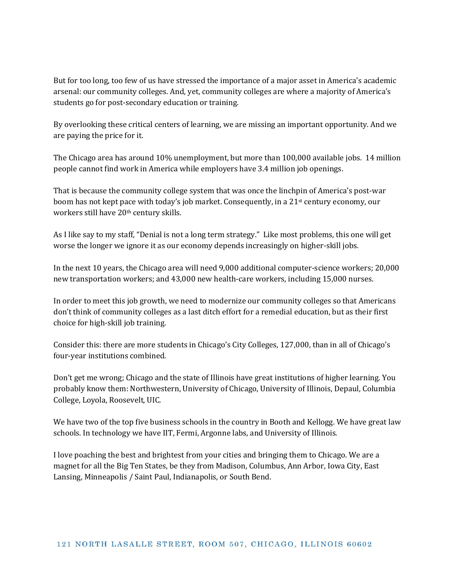But for too long, too few of us have stressed the importance of a major asset in America's academic arsenal: our community colleges. And, yet, community colleges are where a majority of America's students go for post-secondary education or training.

By overlooking these critical centers of learning, we are missing an important opportunity. And we are paying the price for it.

The Chicago area has around 10% unemployment, but more than 100,000 available jobs. 14 million people cannot find work in America while employers have 3.4 million job openings.

That is because the community college system that was once the linchpin of America's post-war boom has not kept pace with today's job market. Consequently, in a 21st century economy, our workers still have 20<sup>th</sup> century skills.

As I like say to my staff, "Denial is not a long term strategy." Like most problems, this one will get worse the longer we ignore it as our economy depends increasingly on higher-skill jobs.

In the next 10 years, the Chicago area will need 9,000 additional computer-science workers; 20,000 new transportation workers; and 43,000 new health-care workers, including 15,000 nurses.

In order to meet this job growth, we need to modernize our community colleges so that Americans don't think of community colleges as a last ditch effort for a remedial education, but as their first choice for high-skill job training.

Consider this: there are more students in Chicago's City Colleges, 127,000, than in all of Chicago's four-year institutions combined.

Don't get me wrong; Chicago and the state of Illinois have great institutions of higher learning. You probably know them: Northwestern, University of Chicago, University of Illinois, Depaul, Columbia College, Loyola, Roosevelt, UIC.

We have two of the top five business schools in the country in Booth and Kellogg. We have great law schools. In technology we have IIT, Fermi, Argonne labs, and University of Illinois.

I love poaching the best and brightest from your cities and bringing them to Chicago. We are a magnet for all the Big Ten States, be they from Madison, Columbus, Ann Arbor, Iowa City, East Lansing, Minneapolis / Saint Paul, Indianapolis, or South Bend.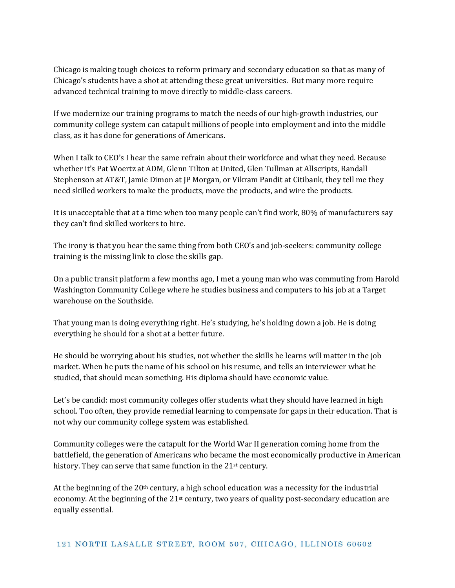Chicago is making tough choices to reform primary and secondary education so that as many of Chicago's students have a shot at attending these great universities. But many more require advanced technical training to move directly to middle-class careers.

If we modernize our training programs to match the needs of our high-growth industries, our community college system can catapult millions of people into employment and into the middle class, as it has done for generations of Americans.

When I talk to CEO's I hear the same refrain about their workforce and what they need. Because whether it's Pat Woertz at ADM, Glenn Tilton at United, Glen Tullman at Allscripts, Randall Stephenson at AT&T, Jamie Dimon at JP Morgan, or Vikram Pandit at Citibank, they tell me they need skilled workers to make the products, move the products, and wire the products.

It is unacceptable that at a time when too many people can't find work, 80% of manufacturers say they can't find skilled workers to hire.

The irony is that you hear the same thing from both CEO's and job-seekers: community college training is the missing link to close the skills gap.

On a public transit platform a few months ago, I met a young man who was commuting from Harold Washington Community College where he studies business and computers to his job at a Target warehouse on the Southside.

That young man is doing everything right. He's studying, he's holding down a job. He is doing everything he should for a shot at a better future.

He should be worrying about his studies, not whether the skills he learns will matter in the job market. When he puts the name of his school on his resume, and tells an interviewer what he studied, that should mean something. His diploma should have economic value.

Let's be candid: most community colleges offer students what they should have learned in high school. Too often, they provide remedial learning to compensate for gaps in their education. That is not why our community college system was established.

Community colleges were the catapult for the World War II generation coming home from the battlefield, the generation of Americans who became the most economically productive in American history. They can serve that same function in the 21<sup>st</sup> century.

At the beginning of the  $20<sup>th</sup>$  century, a high school education was a necessity for the industrial economy. At the beginning of the 21st century, two years of quality post-secondary education are equally essential.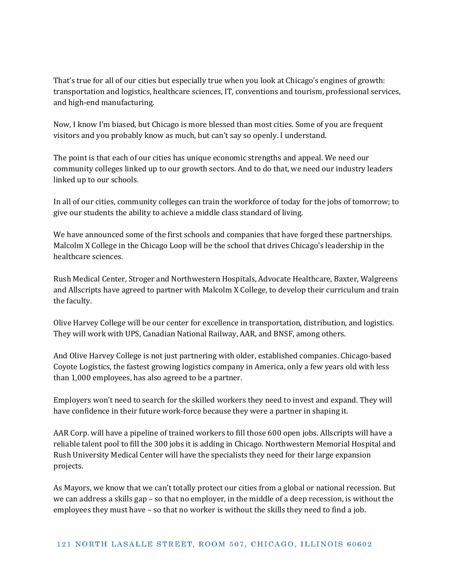That's true for all of our cities but especially true when you look at Chicago's engines of growth: transportation and logistics, healthcare sciences, IT, conventions and tourism, professional services, and high-end manufacturing.

Now, I know I'm biased, but Chicago is more blessed than most cities. Some of you are frequent visitors and you probably know as much, but can't say so openly. I understand.

The point is that each of our cities has unique economic strengths and appeal. We need our community colleges linked up to our growth sectors. And to do that, we need our industry leaders linked up to our schools.

In all of our cities, community colleges can train the workforce of today for the jobs of tomorrow; to give our students the ability to achieve a middle class standard of living.

We have announced some of the first schools and companies that have forged these partnerships. Malcolm X College in the Chicago Loop will be the school that drives Chicago's leadership in the healthcare sciences.

Rush Medical Center, Stroger and Northwestern Hospitals, Advocate Healthcare, Baxter, Walgreens and Allscripts have agreed to partner with Malcolm X College, to develop their curriculum and train the faculty.

Olive Harvey College will be our center for excellence in transportation, distribution, and logistics. They will work with UPS, Canadian National Railway, AAR, and BNSF, among others.

And Olive Harvey College is not just partnering with older, established companies. Chicago-based Coyote Logistics, the fastest growing logistics company in America, only a few years old with less than 1,000 employees, has also agreed to be a partner.

Employers won't need to search for the skilled workers they need to invest and expand. They will have confidence in their future work-force because they were a partner in shaping it.

AAR Corp. will have a pipeline of trained workers to fill those 600 open jobs. Allscripts will have a reliable talent pool to fill the 300 jobs it is adding in Chicago. Northwestern Memorial Hospital and Rush University Medical Center will have the specialists they need for their large expansion projects.

As Mayors, we know that we can't totally protect our cities from a global or national recession. But we can address a skills gap – so that no employer, in the middle of a deep recession, is without the employees they must have – so that no worker is without the skills they need to find a job.